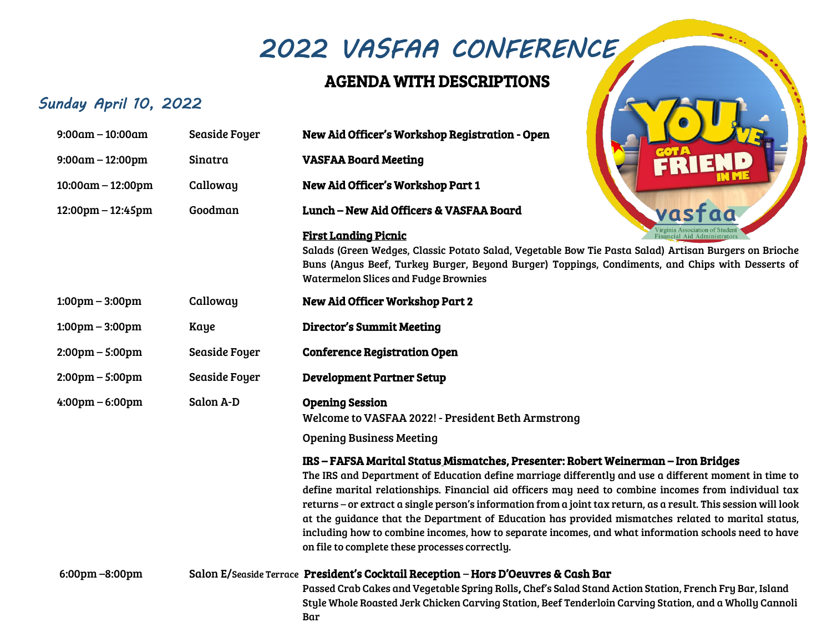# *2022 VASFAA CONFERENCE*

### AGENDA WITH DESCRIPTIONS

### *Sunday April 10, 2022*

| $9:00am - 10:00am$                  | Seaside Foyer        | New Aid Officer's Workshop Registration - Open                                                                                                                                                                                                                                                                                                                                                                                                                                                                                                                                                                                                                                         |
|-------------------------------------|----------------------|----------------------------------------------------------------------------------------------------------------------------------------------------------------------------------------------------------------------------------------------------------------------------------------------------------------------------------------------------------------------------------------------------------------------------------------------------------------------------------------------------------------------------------------------------------------------------------------------------------------------------------------------------------------------------------------|
| $9:00am - 12:00pm$                  | Sinatra              | <b>VASFAA Board Meeting</b>                                                                                                                                                                                                                                                                                                                                                                                                                                                                                                                                                                                                                                                            |
| $10:00am - 12:00pm$                 | Calloway             | New Aid Officer's Workshop Part 1                                                                                                                                                                                                                                                                                                                                                                                                                                                                                                                                                                                                                                                      |
| $12:00 \text{pm} - 12:45 \text{pm}$ | Goodman              | <b>Lunch - New Aid Officers &amp; VASFAA Board</b>                                                                                                                                                                                                                                                                                                                                                                                                                                                                                                                                                                                                                                     |
|                                     |                      | <b>First Landing Picnic</b><br>Salads (Green Wedges, Classic Potato Salad, Vegetable Bow Tie Pasta Salad) Artisan Burgers on Brioche<br>Buns (Angus Beef, Turkey Burger, Beyond Burger) Toppings, Condiments, and Chips with Desserts of<br><b>Watermelon Slices and Fudge Brownies</b>                                                                                                                                                                                                                                                                                                                                                                                                |
| $1:00 \text{pm} - 3:00 \text{pm}$   | Calloway             | <b>New Aid Officer Workshop Part 2</b>                                                                                                                                                                                                                                                                                                                                                                                                                                                                                                                                                                                                                                                 |
| $1:00 \text{pm} - 3:00 \text{pm}$   | Kaye                 | <b>Director's Summit Meeting</b>                                                                                                                                                                                                                                                                                                                                                                                                                                                                                                                                                                                                                                                       |
| $2:00 \text{pm} - 5:00 \text{pm}$   | <b>Seaside Foyer</b> | <b>Conference Registration Open</b>                                                                                                                                                                                                                                                                                                                                                                                                                                                                                                                                                                                                                                                    |
| $2:00 \text{pm} - 5:00 \text{pm}$   | Seaside Foyer        | <b>Development Partner Setup</b>                                                                                                                                                                                                                                                                                                                                                                                                                                                                                                                                                                                                                                                       |
| $4:00 \text{pm} - 6:00 \text{pm}$   | Salon A-D            | <b>Opening Session</b><br>Welcome to VASFAA 2022! - President Beth Armstrong                                                                                                                                                                                                                                                                                                                                                                                                                                                                                                                                                                                                           |
|                                     |                      | <b>Opening Business Meeting</b>                                                                                                                                                                                                                                                                                                                                                                                                                                                                                                                                                                                                                                                        |
|                                     |                      | IRS - FAFSA Marital Status Mismatches, Presenter: Robert Weinerman - Iron Bridges<br>The IRS and Department of Education define marriage differently and use a different moment in time to<br>define marital relationships. Financial aid officers may need to combine incomes from individual tax<br>returns - or extract a single person's information from a joint tax return, as a result. This session will look<br>at the guidance that the Department of Education has provided mismatches related to marital status,<br>including how to combine incomes, how to separate incomes, and what information schools need to have<br>on file to complete these processes correctly. |
| 6:00pm-8:00pm                       |                      | Salon E/Seaside Terrace President's Cocktail Reception - Hors D'Oeuvres & Cash Bar<br>Passed Crab Cakes and Vegetable Spring Rolls, Chef's Salad Stand Action Station, French Fry Bar, Island<br>Style Whole Roasted Jerk Chicken Carving Station, Beef Tenderloin Carving Station, and a Wholly Cannoli<br>Bar                                                                                                                                                                                                                                                                                                                                                                        |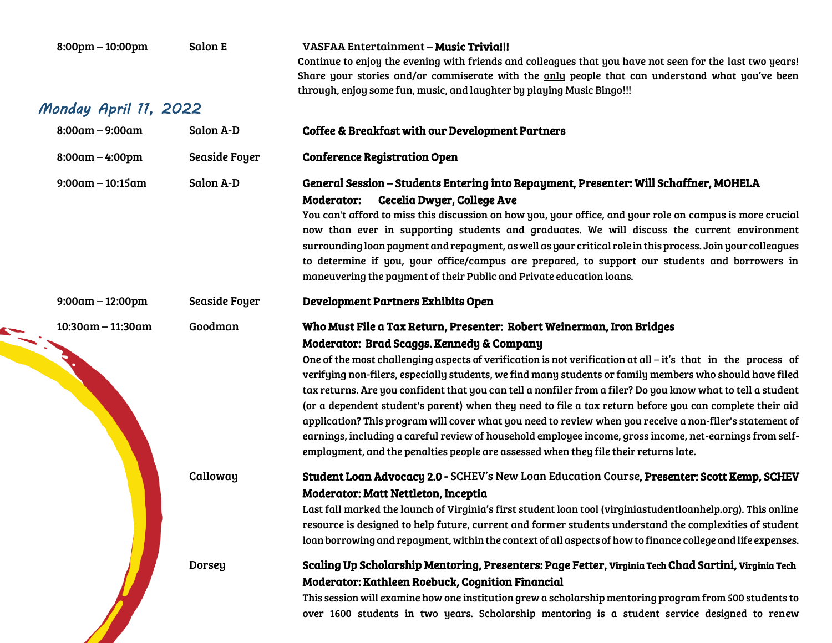| $8:00 \text{pm} - 10:00 \text{pm}$ | Salon E       | <b>VASFAA Entertainment – Music Trivia!!!</b><br>Continue to enjoy the evening with friends and colleagues that you have not seen for the last two years!<br>Share your stories and/or commiserate with the only people that can understand what you've been<br>through, enjoy some fun, music, and laughter by playing Music Bingo!!!                                                                                                                                                                                                                                                                                                                                                                                                                                                                                                                                                    |
|------------------------------------|---------------|-------------------------------------------------------------------------------------------------------------------------------------------------------------------------------------------------------------------------------------------------------------------------------------------------------------------------------------------------------------------------------------------------------------------------------------------------------------------------------------------------------------------------------------------------------------------------------------------------------------------------------------------------------------------------------------------------------------------------------------------------------------------------------------------------------------------------------------------------------------------------------------------|
| Monday April 11, 2022              |               |                                                                                                                                                                                                                                                                                                                                                                                                                                                                                                                                                                                                                                                                                                                                                                                                                                                                                           |
| $8:00am - 9:00am$                  | Salon A-D     | <b>Coffee &amp; Breakfast with our Development Partners</b>                                                                                                                                                                                                                                                                                                                                                                                                                                                                                                                                                                                                                                                                                                                                                                                                                               |
| $8:00am - 4:00pm$                  | Seaside Foyer | <b>Conference Registration Open</b>                                                                                                                                                                                                                                                                                                                                                                                                                                                                                                                                                                                                                                                                                                                                                                                                                                                       |
| $9:00am - 10:15am$                 | Salon A-D     | General Session – Students Entering into Repayment, Presenter: Will Schaffner, MOHELA<br><b>Cecelia Dwyer, College Ave</b><br><b>Moderator:</b><br>You can't afford to miss this discussion on how you, your office, and your role on campus is more crucial<br>now than ever in supporting students and graduates. We will discuss the current environment<br>surrounding loan payment and repayment, as well as your critical role in this process. Join your colleagues<br>to determine if you, your office/campus are prepared, to support our students and borrowers in<br>maneuvering the payment of their Public and Private education loans.                                                                                                                                                                                                                                      |
| $9:00am - 12:00pm$                 | Seaside Foyer | <b>Development Partners Exhibits Open</b>                                                                                                                                                                                                                                                                                                                                                                                                                                                                                                                                                                                                                                                                                                                                                                                                                                                 |
| $10:30$ am - 11:30am               | Goodman       | Who Must File a Tax Return, Presenter: Robert Weinerman, Iron Bridges<br>Moderator: Brad Scaggs. Kennedy & Company<br>One of the most challenging aspects of verification is not verification at all - it's that in the process of<br>verifying non-filers, especially students, we find many students or family members who should have filed<br>tax returns. Are you confident that you can tell a nonfiler from a filer? Do you know what to tell a student<br>(or a dependent student's parent) when they need to file a tax return before you can complete their aid<br>application? This program will cover what you need to review when you receive a non-filer's statement of<br>earnings, including a careful review of household employee income, gross income, net-earnings from self-<br>employment, and the penalties people are assessed when they file their returns late. |
|                                    | Calloway      | Student Loan Advocacy 2.0 - SCHEV's New Loan Education Course, Presenter: Scott Kemp, SCHEV<br>Moderator: Matt Nettleton, Inceptia<br>Last fall marked the launch of Virginia's first student loan tool (virginiastudentloanhelp.org). This online<br>resource is designed to help future, current and former students understand the complexities of student<br>loan borrowing and repayment, within the context of all aspects of how to finance college and life expenses.                                                                                                                                                                                                                                                                                                                                                                                                             |
|                                    | <b>Dorsey</b> | Scaling Up Scholarship Mentoring, Presenters: Page Fetter, Virginia Tech Chad Sartini, Virginia Tech<br>Moderator: Kathleen Roebuck, Cognition Financial<br>This session will examine how one institution grew a scholarship mentoring program from 500 students to<br>over 1600 students in two years. Scholarship mentoring is a student service designed to renew                                                                                                                                                                                                                                                                                                                                                                                                                                                                                                                      |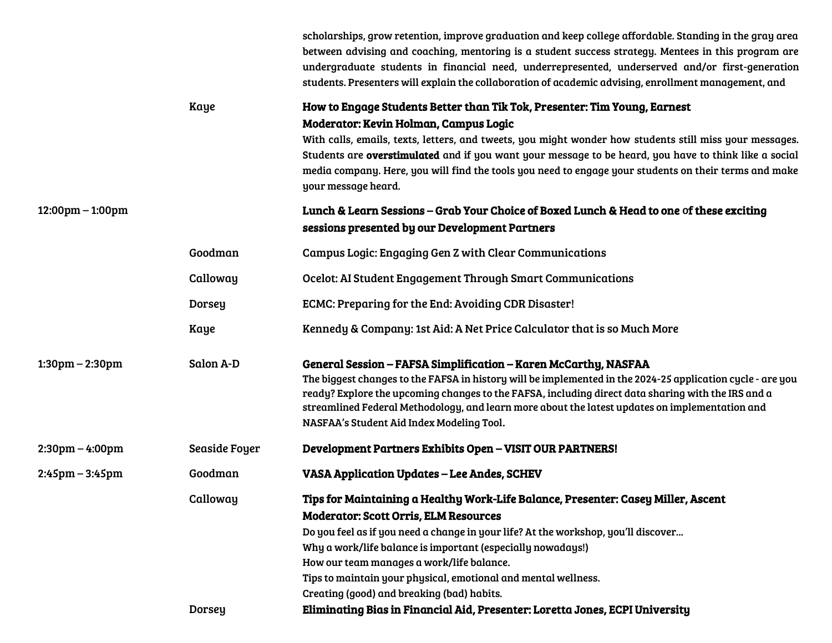|                                    |               | scholarships, grow retention, improve graduation and keep college affordable. Standing in the gray area<br>between advising and coaching, mentoring is a student success strategy. Mentees in this program are<br>undergraduate students in financial need, underrepresented, underserved and/or first-generation<br>students. Presenters will explain the collaboration of academic advising, enrollment management, and                                              |
|------------------------------------|---------------|------------------------------------------------------------------------------------------------------------------------------------------------------------------------------------------------------------------------------------------------------------------------------------------------------------------------------------------------------------------------------------------------------------------------------------------------------------------------|
|                                    | <b>Kaye</b>   | How to Engage Students Better than Tik Tok, Presenter: Tim Young, Earnest<br>Moderator: Kevin Holman, Campus Logic<br>With calls, emails, texts, letters, and tweets, you might wonder how students still miss your messages.<br>Students are overstimulated and if you want your message to be heard, you have to think like a social<br>media company. Here, you will find the tools you need to engage your students on their terms and make<br>your message heard. |
| $12:00 \text{pm} - 1:00 \text{pm}$ |               | Lunch & Learn Sessions – Grab Your Choice of Boxed Lunch & Head to one of these exciting<br>sessions presented by our Development Partners                                                                                                                                                                                                                                                                                                                             |
|                                    | Goodman       | <b>Campus Logic: Engaging Gen Z with Clear Communications</b>                                                                                                                                                                                                                                                                                                                                                                                                          |
|                                    | Calloway      | Ocelot: AI Student Engagement Through Smart Communications                                                                                                                                                                                                                                                                                                                                                                                                             |
|                                    | <b>Dorsey</b> | ECMC: Preparing for the End: Avoiding CDR Disaster!                                                                                                                                                                                                                                                                                                                                                                                                                    |
|                                    | Kaye          | Kennedy & Company: 1st Aid: A Net Price Calculator that is so Much More                                                                                                                                                                                                                                                                                                                                                                                                |
| $1:30 \text{pm} - 2:30 \text{pm}$  | Salon A-D     | General Session - FAFSA Simplification - Karen McCarthy, NASFAA<br>The biggest changes to the FAFSA in history will be implemented in the 2024-25 application cycle - are you<br>ready? Explore the upcoming changes to the FAFSA, including direct data sharing with the IRS and a<br>streamlined Federal Methodology, and learn more about the latest updates on implementation and<br>NASFAA's Student Aid Index Modeling Tool.                                     |
| $2:30 \text{pm} - 4:00 \text{pm}$  | Seaside Foyer | Development Partners Exhibits Open - VISIT OUR PARTNERS!                                                                                                                                                                                                                                                                                                                                                                                                               |
| $2:45 \text{pm} - 3:45 \text{pm}$  | Goodman       | <b>VASA Application Updates – Lee Andes, SCHEV</b>                                                                                                                                                                                                                                                                                                                                                                                                                     |
|                                    | Calloway      | Tips for Maintaining a Healthy Work-Life Balance, Presenter: Casey Miller, Ascent<br><b>Moderator: Scott Orris, ELM Resources</b><br>Do you feel as if you need a change in your life? At the workshop, you'll discover<br>Why a work/life balance is important (especially nowadays!)<br>How our team manages a work/life balance.<br>Tips to maintain your physical, emotional and mental wellness.<br>Creating (good) and breaking (bad) habits.                    |
|                                    | Dorsey        | Eliminating Bias in Financial Aid, Presenter: Loretta Jones, ECPI University                                                                                                                                                                                                                                                                                                                                                                                           |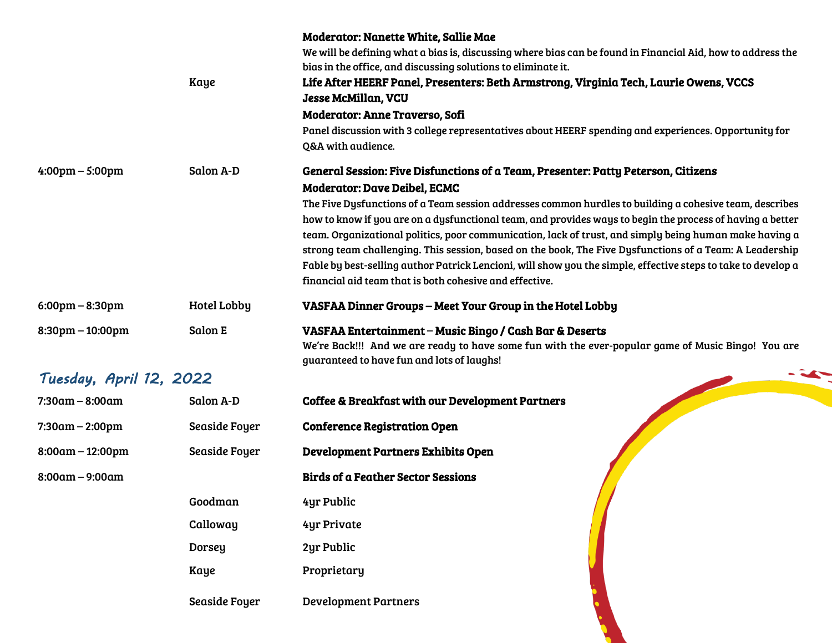|                                    | Kaye                 | <b>Moderator: Nanette White, Sallie Mae</b><br>We will be defining what a bias is, discussing where bias can be found in Financial Aid, how to address the<br>bias in the office, and discussing solutions to eliminate it.<br>Life After HEERF Panel, Presenters: Beth Armstrong, Virginia Tech, Laurie Owens, VCCS<br><b>Jesse McMillan, VCU</b><br>Moderator: Anne Traverso, Sofi<br>Panel discussion with 3 college representatives about HEERF spending and experiences. Opportunity for<br>Q&A with audience.                                                                                                                                          |
|------------------------------------|----------------------|--------------------------------------------------------------------------------------------------------------------------------------------------------------------------------------------------------------------------------------------------------------------------------------------------------------------------------------------------------------------------------------------------------------------------------------------------------------------------------------------------------------------------------------------------------------------------------------------------------------------------------------------------------------|
| $4:00 \text{pm} - 5:00 \text{pm}$  | Salon A-D            | General Session: Five Disfunctions of a Team, Presenter: Patty Peterson, Citizens                                                                                                                                                                                                                                                                                                                                                                                                                                                                                                                                                                            |
|                                    |                      | <b>Moderator: Dave Deibel, ECMC</b><br>The Five Dysfunctions of a Team session addresses common hurdles to building a cohesive team, describes<br>how to know if you are on a dysfunctional team, and provides ways to begin the process of having a better<br>team. Organizational politics, poor communication, lack of trust, and simply being human make having a<br>strong team challenging. This session, based on the book, The Five Dysfunctions of a Team: A Leadership<br>Fable by best-selling author Patrick Lencioni, will show you the simple, effective steps to take to develop a<br>financial aid team that is both cohesive and effective. |
| $6:00 \text{pm} - 8:30 \text{pm}$  | <b>Hotel Lobby</b>   | VASFAA Dinner Groups - Meet Your Group in the Hotel Lobby                                                                                                                                                                                                                                                                                                                                                                                                                                                                                                                                                                                                    |
| $8:30 \text{pm} - 10:00 \text{pm}$ | <b>Salon E</b>       | VASFAA Entertainment – Music Bingo / Cash Bar & Deserts<br>We're Back!!! And we are ready to have some fun with the ever-popular game of Music Bingo! You are<br>guaranteed to have fun and lots of laughs!                                                                                                                                                                                                                                                                                                                                                                                                                                                  |
| Tuesday, April 12, 2022            |                      |                                                                                                                                                                                                                                                                                                                                                                                                                                                                                                                                                                                                                                                              |
| $7:30$ am – 8:00am                 | Salon A-D            | <b>Coffee &amp; Breakfast with our Development Partners</b>                                                                                                                                                                                                                                                                                                                                                                                                                                                                                                                                                                                                  |
| $7:30am - 2:00pm$                  | <b>Seaside Foyer</b> | <b>Conference Registration Open</b>                                                                                                                                                                                                                                                                                                                                                                                                                                                                                                                                                                                                                          |
| $8:00am - 12:00pm$                 | <b>Seaside Foyer</b> | Development Partners Exhibits Open                                                                                                                                                                                                                                                                                                                                                                                                                                                                                                                                                                                                                           |
| $8:00am - 9:00am$                  |                      | <b>Birds of a Feather Sector Sessions</b>                                                                                                                                                                                                                                                                                                                                                                                                                                                                                                                                                                                                                    |
|                                    | Goodman              | 4yr Public                                                                                                                                                                                                                                                                                                                                                                                                                                                                                                                                                                                                                                                   |
|                                    | Calloway             | 4yr Private                                                                                                                                                                                                                                                                                                                                                                                                                                                                                                                                                                                                                                                  |
|                                    |                      |                                                                                                                                                                                                                                                                                                                                                                                                                                                                                                                                                                                                                                                              |
|                                    | <b>Dorsey</b>        | 2yr Public                                                                                                                                                                                                                                                                                                                                                                                                                                                                                                                                                                                                                                                   |
|                                    | <b>Kaye</b>          | Proprietary                                                                                                                                                                                                                                                                                                                                                                                                                                                                                                                                                                                                                                                  |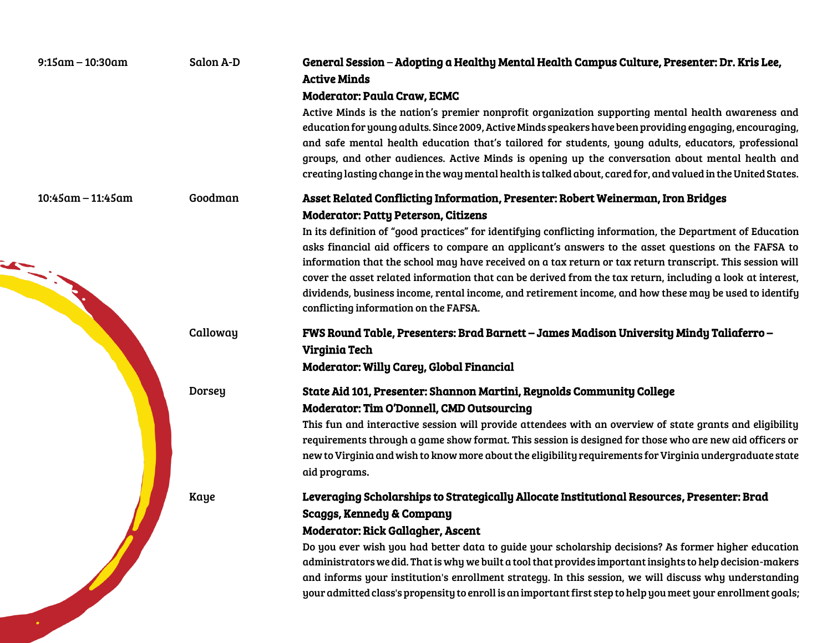| $9:15$ am - 10:30am  | Salon A-D     | General Session - Adopting a Healthy Mental Health Campus Culture, Presenter: Dr. Kris Lee,<br><b>Active Minds</b><br><b>Moderator: Paula Craw, ECMC</b><br>Active Minds is the nation's premier nonprofit organization supporting mental health awareness and<br>education for young adults. Since 2009, Active Minds speakers have been providing engaging, encouraging,<br>and safe mental health education that's tailored for students, young adults, educators, professional<br>groups, and other audiences. Active Minds is opening up the conversation about mental health and<br>creating lasting change in the way mental health is talked about, cared for, and valued in the United States.                             |
|----------------------|---------------|-------------------------------------------------------------------------------------------------------------------------------------------------------------------------------------------------------------------------------------------------------------------------------------------------------------------------------------------------------------------------------------------------------------------------------------------------------------------------------------------------------------------------------------------------------------------------------------------------------------------------------------------------------------------------------------------------------------------------------------|
| $10:45$ am - 11:45am | Goodman       | Asset Related Conflicting Information, Presenter: Robert Weinerman, Iron Bridges<br><b>Moderator: Patty Peterson, Citizens</b><br>In its definition of "good practices" for identifying conflicting information, the Department of Education<br>asks financial aid officers to compare an applicant's answers to the asset questions on the FAFSA to<br>information that the school may have received on a tax return or tax return transcript. This session will<br>cover the asset related information that can be derived from the tax return, including a look at interest,<br>dividends, business income, rental income, and retirement income, and how these may be used to identify<br>conflicting information on the FAFSA. |
|                      | Calloway      | FWS Round Table, Presenters: Brad Barnett – James Madison University Mindy Taliaferro –<br>Virginia Tech<br><b>Moderator: Willy Carey, Global Financial</b>                                                                                                                                                                                                                                                                                                                                                                                                                                                                                                                                                                         |
|                      | <b>Dorsey</b> | State Aid 101, Presenter: Shannon Martini, Reynolds Community College<br><b>Moderator: Tim O'Donnell, CMD Outsourcing</b><br>This fun and interactive session will provide attendees with an overview of state grants and eligibility<br>requirements through a game show format. This session is designed for those who are new aid officers or<br>new to Virginia and wish to know more about the eligibility requirements for Virginia undergraduate state<br>aid programs.                                                                                                                                                                                                                                                      |
|                      | Kaye          | Leveraging Scholarships to Strategically Allocate Institutional Resources, Presenter: Brad<br><b>Scaggs, Kennedy &amp; Company</b><br><b>Moderator: Rick Gallagher, Ascent</b><br>Do you ever wish you had better data to guide your scholarship decisions? As former higher education<br>administrators we did. That is why we built a tool that provides important insights to help decision-makers<br>and informs your institution's enrollment strategy. In this session, we will discuss why understanding<br>your admitted class's propensity to enroll is an important first step to help you meet your enrollment goals;                                                                                                    |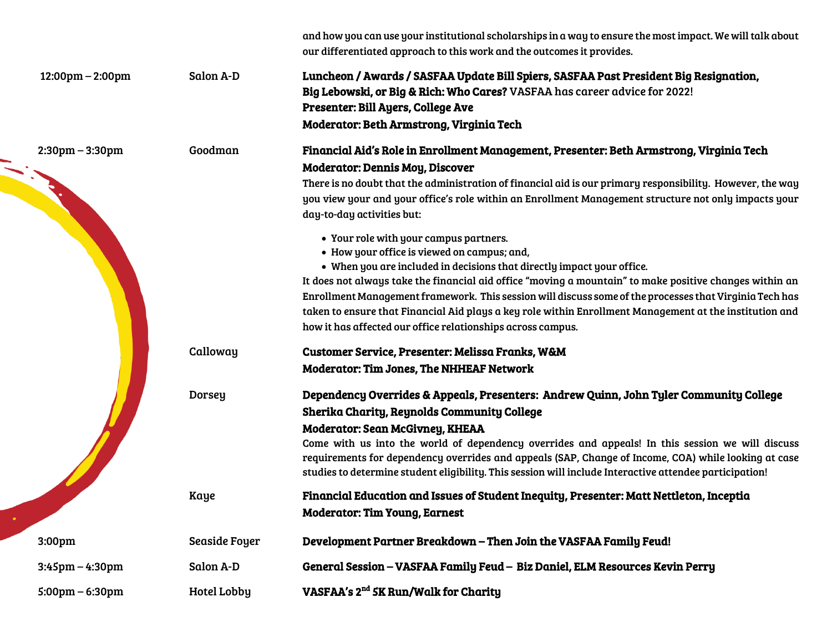|                                    |               | and how you can use your institutional scholarships in a way to ensure the most impact. We will talk about<br>our differentiated approach to this work and the outcomes it provides.                                                                                                                                                                                                                                                                                                                                                                            |
|------------------------------------|---------------|-----------------------------------------------------------------------------------------------------------------------------------------------------------------------------------------------------------------------------------------------------------------------------------------------------------------------------------------------------------------------------------------------------------------------------------------------------------------------------------------------------------------------------------------------------------------|
| $12:00 \text{pm} - 2:00 \text{pm}$ | Salon A-D     | Luncheon / Awards / SASFAA Update Bill Spiers, SASFAA Past President Big Resignation,<br>Big Lebowski, or Big & Rich: Who Cares? VASFAA has career advice for 2022!<br>Presenter: Bill Ayers, College Ave<br>Moderator: Beth Armstrong, Virginia Tech                                                                                                                                                                                                                                                                                                           |
| $2:30 \text{pm} - 3:30 \text{pm}$  | Goodman       | Financial Aid's Role in Enrollment Management, Presenter: Beth Armstrong, Virginia Tech                                                                                                                                                                                                                                                                                                                                                                                                                                                                         |
|                                    |               | <b>Moderator: Dennis Moy, Discover</b><br>There is no doubt that the administration of financial aid is our primary responsibility. However, the way<br>you view your and your office's role within an Enrollment Management structure not only impacts your<br>day-to-day activities but:                                                                                                                                                                                                                                                                      |
|                                    |               | • Your role with your campus partners.<br>• How your office is viewed on campus; and,<br>• When you are included in decisions that directly impact your office.<br>It does not always take the financial aid office "moving a mountain" to make positive changes within an<br>Enrollment Management framework. This session will discuss some of the processes that Virginia Tech has<br>taken to ensure that Financial Aid plays a key role within Enrollment Management at the institution and<br>how it has affected our office relationships across campus. |
|                                    | Calloway      | Customer Service, Presenter: Melissa Franks, W&M<br><b>Moderator: Tim Jones, The NHHEAF Network</b>                                                                                                                                                                                                                                                                                                                                                                                                                                                             |
|                                    | <b>Dorsey</b> | Dependency Overrides & Appeals, Presenters: Andrew Quinn, John Tyler Community College<br>Sherika Charity, Reynolds Community College<br><b>Moderator: Sean McGivney, KHEAA</b><br>Come with us into the world of dependency overrides and appeals! In this session we will discuss<br>requirements for dependency overrides and appeals (SAP, Change of Income, COA) while looking at case<br>studies to determine student eligibility. This session will include Interactive attendee participation!                                                          |
|                                    | Kaye          | Financial Education and Issues of Student Inequity, Presenter: Matt Nettleton, Inceptia<br><b>Moderator: Tim Young, Earnest</b>                                                                                                                                                                                                                                                                                                                                                                                                                                 |
| 3:00pm                             | Seaside Foyer | Development Partner Breakdown - Then Join the VASFAA Family Feud!                                                                                                                                                                                                                                                                                                                                                                                                                                                                                               |
| $3:45$ pm – $4:30$ pm              | Salon A-D     | General Session - VASFAA Family Feud - Biz Daniel, ELM Resources Kevin Perry                                                                                                                                                                                                                                                                                                                                                                                                                                                                                    |
| $5:00 \text{pm} - 6:30 \text{pm}$  | Hotel Lobby   | VASFAA's 2 <sup>nd</sup> 5K Run/Walk for Charity                                                                                                                                                                                                                                                                                                                                                                                                                                                                                                                |